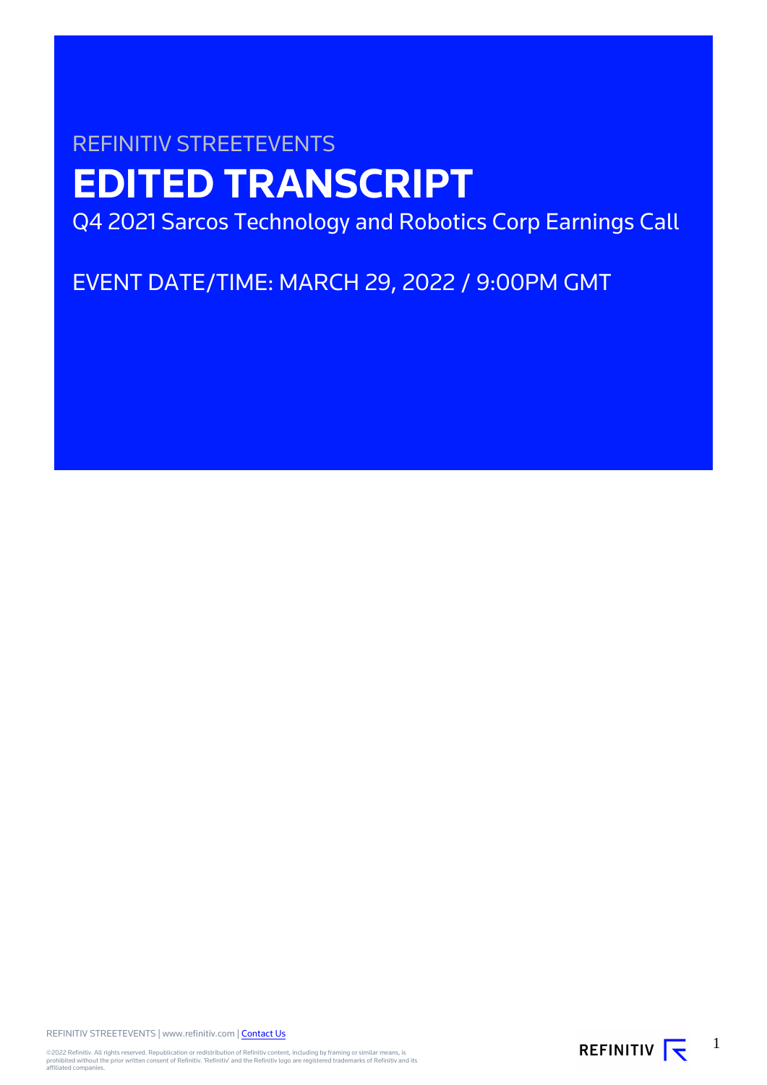# REFINITIV STREETEVENTS **EDITED TRANSCRIPT** Q4 2021 Sarcos Technology and Robotics Corp Earnings Call

EVENT DATE/TIME: MARCH 29, 2022 / 9:00PM GMT

REFINITIV STREETEVENTS | www.refinitiv.com | [Contact Us](https://www.refinitiv.com/en/contact-us)

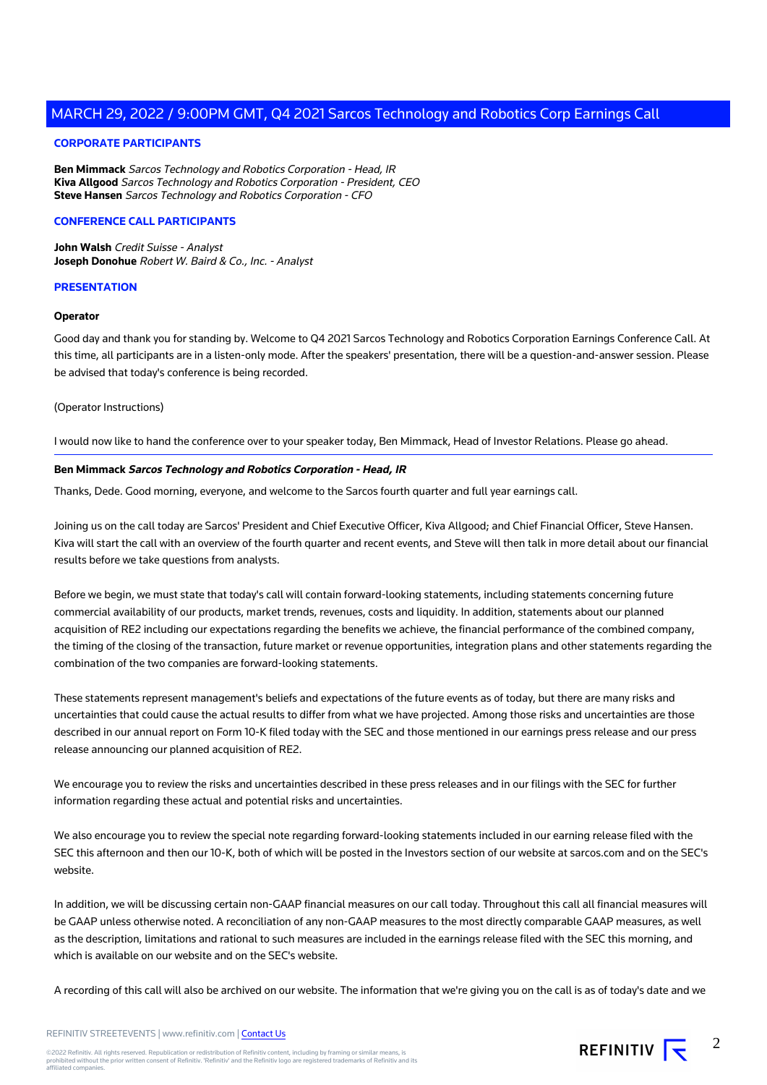#### **CORPORATE PARTICIPANTS**

**Ben Mimmack** Sarcos Technology and Robotics Corporation - Head, IR **Kiva Allgood** Sarcos Technology and Robotics Corporation - President, CEO **Steve Hansen** Sarcos Technology and Robotics Corporation - CFO

#### **CONFERENCE CALL PARTICIPANTS**

**John Walsh** Credit Suisse - Analyst **Joseph Donohue** Robert W. Baird & Co., Inc. - Analyst

#### **PRESENTATION**

#### **Operator**

Good day and thank you for standing by. Welcome to Q4 2021 Sarcos Technology and Robotics Corporation Earnings Conference Call. At this time, all participants are in a listen-only mode. After the speakers' presentation, there will be a question-and-answer session. Please be advised that today's conference is being recorded.

#### (Operator Instructions)

I would now like to hand the conference over to your speaker today, Ben Mimmack, Head of Investor Relations. Please go ahead.

#### **Ben Mimmack Sarcos Technology and Robotics Corporation - Head, IR**

Thanks, Dede. Good morning, everyone, and welcome to the Sarcos fourth quarter and full year earnings call.

Joining us on the call today are Sarcos' President and Chief Executive Officer, Kiva Allgood; and Chief Financial Officer, Steve Hansen. Kiva will start the call with an overview of the fourth quarter and recent events, and Steve will then talk in more detail about our financial results before we take questions from analysts.

Before we begin, we must state that today's call will contain forward-looking statements, including statements concerning future commercial availability of our products, market trends, revenues, costs and liquidity. In addition, statements about our planned acquisition of RE2 including our expectations regarding the benefits we achieve, the financial performance of the combined company, the timing of the closing of the transaction, future market or revenue opportunities, integration plans and other statements regarding the combination of the two companies are forward-looking statements.

These statements represent management's beliefs and expectations of the future events as of today, but there are many risks and uncertainties that could cause the actual results to differ from what we have projected. Among those risks and uncertainties are those described in our annual report on Form 10-K filed today with the SEC and those mentioned in our earnings press release and our press release announcing our planned acquisition of RE2.

We encourage you to review the risks and uncertainties described in these press releases and in our filings with the SEC for further information regarding these actual and potential risks and uncertainties.

We also encourage you to review the special note regarding forward-looking statements included in our earning release filed with the SEC this afternoon and then our 10-K, both of which will be posted in the Investors section of our website at sarcos.com and on the SEC's website.

In addition, we will be discussing certain non-GAAP financial measures on our call today. Throughout this call all financial measures will be GAAP unless otherwise noted. A reconciliation of any non-GAAP measures to the most directly comparable GAAP measures, as well as the description, limitations and rational to such measures are included in the earnings release filed with the SEC this morning, and which is available on our website and on the SEC's website.

A recording of this call will also be archived on our website. The information that we're giving you on the call is as of today's date and we

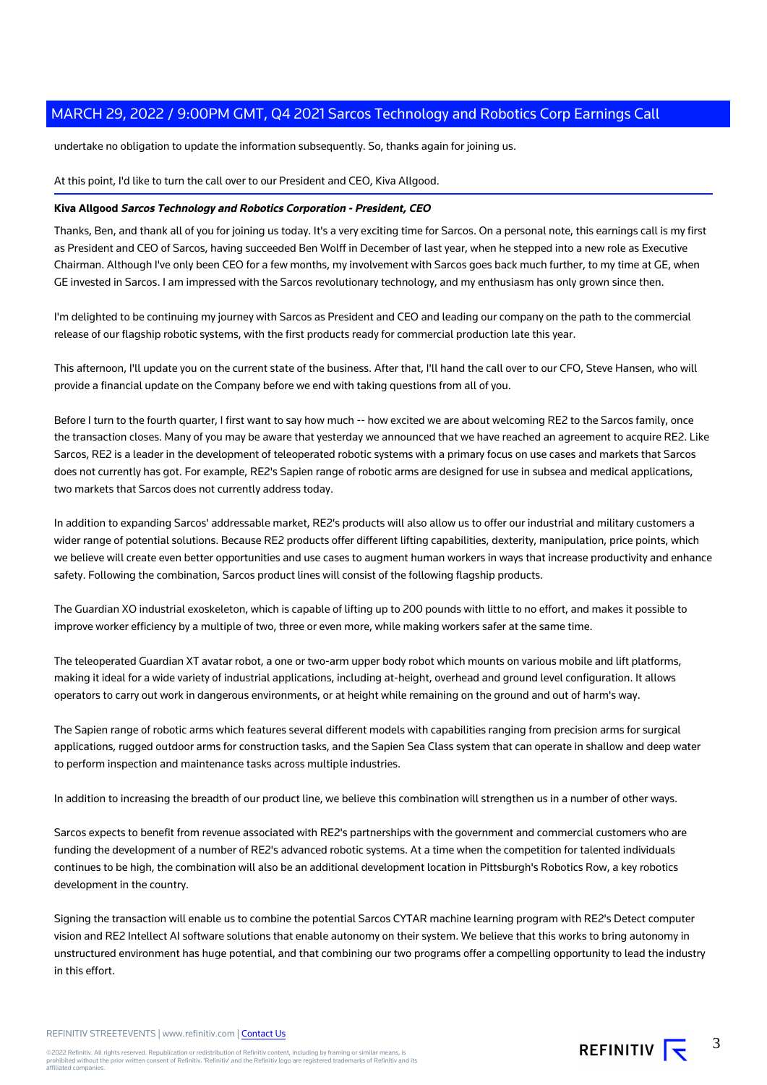undertake no obligation to update the information subsequently. So, thanks again for joining us.

At this point, I'd like to turn the call over to our President and CEO, Kiva Allgood.

#### **Kiva Allgood Sarcos Technology and Robotics Corporation - President, CEO**

Thanks, Ben, and thank all of you for joining us today. It's a very exciting time for Sarcos. On a personal note, this earnings call is my first as President and CEO of Sarcos, having succeeded Ben Wolff in December of last year, when he stepped into a new role as Executive Chairman. Although I've only been CEO for a few months, my involvement with Sarcos goes back much further, to my time at GE, when GE invested in Sarcos. I am impressed with the Sarcos revolutionary technology, and my enthusiasm has only grown since then.

I'm delighted to be continuing my journey with Sarcos as President and CEO and leading our company on the path to the commercial release of our flagship robotic systems, with the first products ready for commercial production late this year.

This afternoon, I'll update you on the current state of the business. After that, I'll hand the call over to our CFO, Steve Hansen, who will provide a financial update on the Company before we end with taking questions from all of you.

Before I turn to the fourth quarter, I first want to say how much -- how excited we are about welcoming RE2 to the Sarcos family, once the transaction closes. Many of you may be aware that yesterday we announced that we have reached an agreement to acquire RE2. Like Sarcos, RE2 is a leader in the development of teleoperated robotic systems with a primary focus on use cases and markets that Sarcos does not currently has got. For example, RE2's Sapien range of robotic arms are designed for use in subsea and medical applications, two markets that Sarcos does not currently address today.

In addition to expanding Sarcos' addressable market, RE2's products will also allow us to offer our industrial and military customers a wider range of potential solutions. Because RE2 products offer different lifting capabilities, dexterity, manipulation, price points, which we believe will create even better opportunities and use cases to augment human workers in ways that increase productivity and enhance safety. Following the combination, Sarcos product lines will consist of the following flagship products.

The Guardian XO industrial exoskeleton, which is capable of lifting up to 200 pounds with little to no effort, and makes it possible to improve worker efficiency by a multiple of two, three or even more, while making workers safer at the same time.

The teleoperated Guardian XT avatar robot, a one or two-arm upper body robot which mounts on various mobile and lift platforms, making it ideal for a wide variety of industrial applications, including at-height, overhead and ground level configuration. It allows operators to carry out work in dangerous environments, or at height while remaining on the ground and out of harm's way.

The Sapien range of robotic arms which features several different models with capabilities ranging from precision arms for surgical applications, rugged outdoor arms for construction tasks, and the Sapien Sea Class system that can operate in shallow and deep water to perform inspection and maintenance tasks across multiple industries.

In addition to increasing the breadth of our product line, we believe this combination will strengthen us in a number of other ways.

Sarcos expects to benefit from revenue associated with RE2's partnerships with the government and commercial customers who are funding the development of a number of RE2's advanced robotic systems. At a time when the competition for talented individuals continues to be high, the combination will also be an additional development location in Pittsburgh's Robotics Row, a key robotics development in the country.

Signing the transaction will enable us to combine the potential Sarcos CYTAR machine learning program with RE2's Detect computer vision and RE2 Intellect AI software solutions that enable autonomy on their system. We believe that this works to bring autonomy in unstructured environment has huge potential, and that combining our two programs offer a compelling opportunity to lead the industry in this effort.

REFINITIV STREETEVENTS | www.refinitiv.com | [Contact Us](https://www.refinitiv.com/en/contact-us)

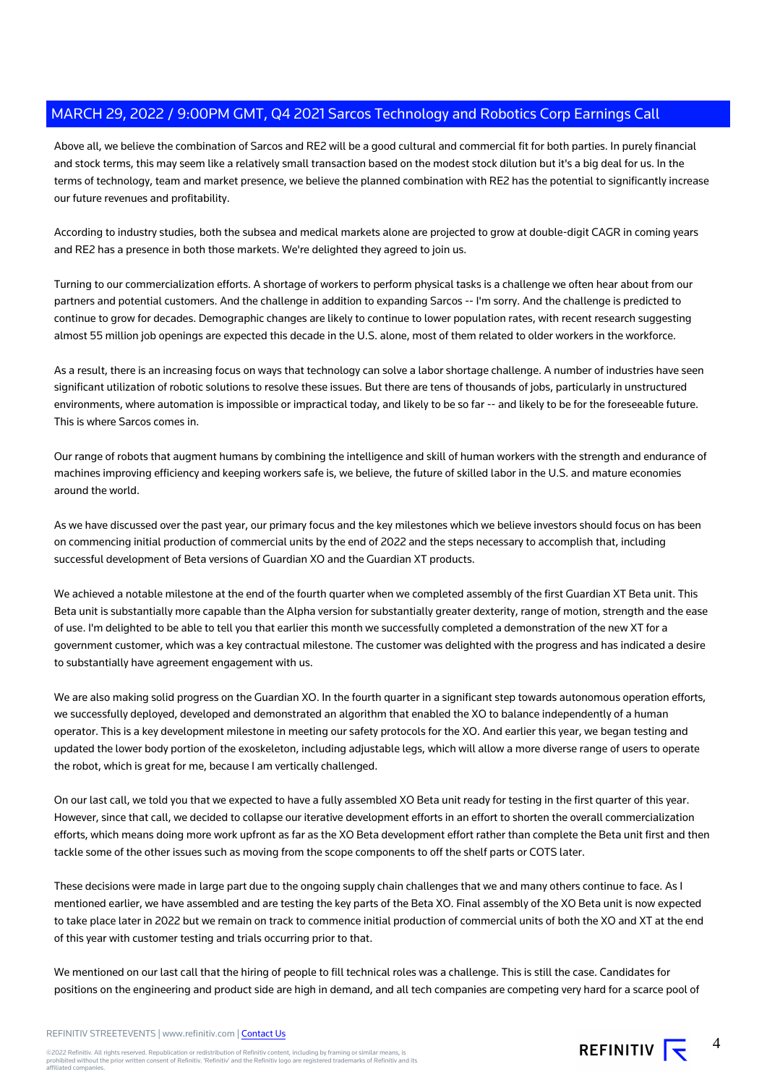Above all, we believe the combination of Sarcos and RE2 will be a good cultural and commercial fit for both parties. In purely financial and stock terms, this may seem like a relatively small transaction based on the modest stock dilution but it's a big deal for us. In the terms of technology, team and market presence, we believe the planned combination with RE2 has the potential to significantly increase our future revenues and profitability.

According to industry studies, both the subsea and medical markets alone are projected to grow at double-digit CAGR in coming years and RE2 has a presence in both those markets. We're delighted they agreed to join us.

Turning to our commercialization efforts. A shortage of workers to perform physical tasks is a challenge we often hear about from our partners and potential customers. And the challenge in addition to expanding Sarcos -- I'm sorry. And the challenge is predicted to continue to grow for decades. Demographic changes are likely to continue to lower population rates, with recent research suggesting almost 55 million job openings are expected this decade in the U.S. alone, most of them related to older workers in the workforce.

As a result, there is an increasing focus on ways that technology can solve a labor shortage challenge. A number of industries have seen significant utilization of robotic solutions to resolve these issues. But there are tens of thousands of jobs, particularly in unstructured environments, where automation is impossible or impractical today, and likely to be so far -- and likely to be for the foreseeable future. This is where Sarcos comes in.

Our range of robots that augment humans by combining the intelligence and skill of human workers with the strength and endurance of machines improving efficiency and keeping workers safe is, we believe, the future of skilled labor in the U.S. and mature economies around the world.

As we have discussed over the past year, our primary focus and the key milestones which we believe investors should focus on has been on commencing initial production of commercial units by the end of 2022 and the steps necessary to accomplish that, including successful development of Beta versions of Guardian XO and the Guardian XT products.

We achieved a notable milestone at the end of the fourth quarter when we completed assembly of the first Guardian XT Beta unit. This Beta unit is substantially more capable than the Alpha version for substantially greater dexterity, range of motion, strength and the ease of use. I'm delighted to be able to tell you that earlier this month we successfully completed a demonstration of the new XT for a government customer, which was a key contractual milestone. The customer was delighted with the progress and has indicated a desire to substantially have agreement engagement with us.

We are also making solid progress on the Guardian XO. In the fourth quarter in a significant step towards autonomous operation efforts, we successfully deployed, developed and demonstrated an algorithm that enabled the XO to balance independently of a human operator. This is a key development milestone in meeting our safety protocols for the XO. And earlier this year, we began testing and updated the lower body portion of the exoskeleton, including adjustable legs, which will allow a more diverse range of users to operate the robot, which is great for me, because I am vertically challenged.

On our last call, we told you that we expected to have a fully assembled XO Beta unit ready for testing in the first quarter of this year. However, since that call, we decided to collapse our iterative development efforts in an effort to shorten the overall commercialization efforts, which means doing more work upfront as far as the XO Beta development effort rather than complete the Beta unit first and then tackle some of the other issues such as moving from the scope components to off the shelf parts or COTS later.

These decisions were made in large part due to the ongoing supply chain challenges that we and many others continue to face. As I mentioned earlier, we have assembled and are testing the key parts of the Beta XO. Final assembly of the XO Beta unit is now expected to take place later in 2022 but we remain on track to commence initial production of commercial units of both the XO and XT at the end of this year with customer testing and trials occurring prior to that.

We mentioned on our last call that the hiring of people to fill technical roles was a challenge. This is still the case. Candidates for positions on the engineering and product side are high in demand, and all tech companies are competing very hard for a scarce pool of

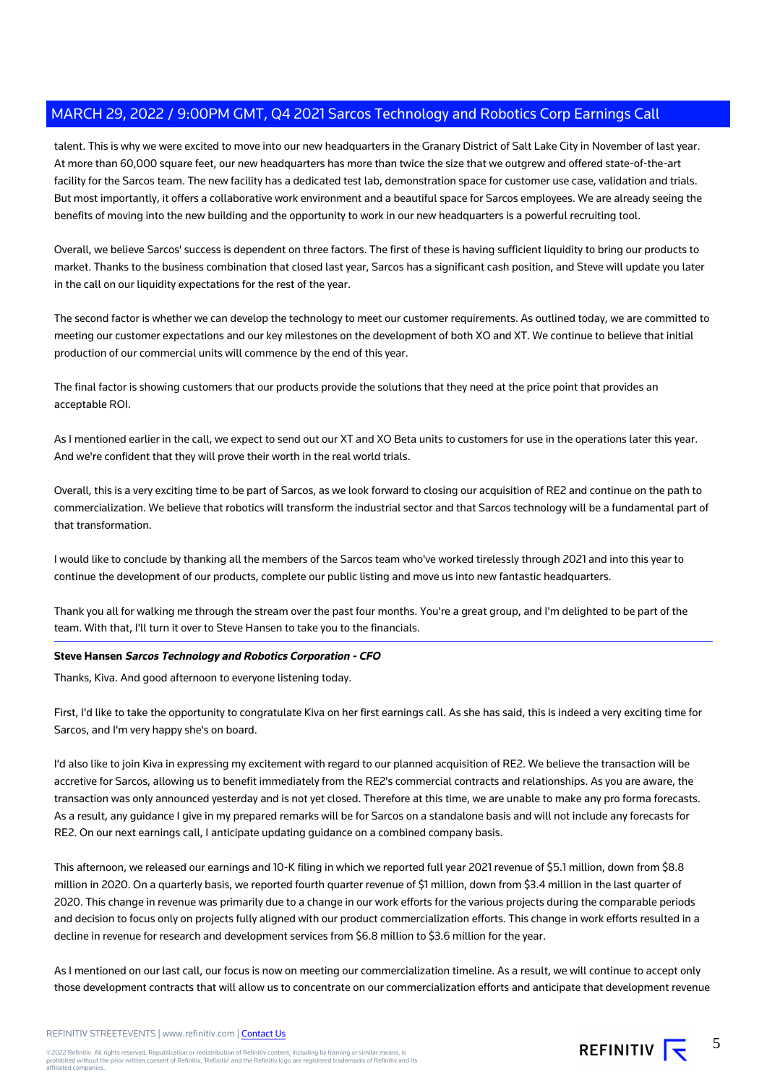talent. This is why we were excited to move into our new headquarters in the Granary District of Salt Lake City in November of last year. At more than 60,000 square feet, our new headquarters has more than twice the size that we outgrew and offered state-of-the-art facility for the Sarcos team. The new facility has a dedicated test lab, demonstration space for customer use case, validation and trials. But most importantly, it offers a collaborative work environment and a beautiful space for Sarcos employees. We are already seeing the benefits of moving into the new building and the opportunity to work in our new headquarters is a powerful recruiting tool.

Overall, we believe Sarcos' success is dependent on three factors. The first of these is having sufficient liquidity to bring our products to market. Thanks to the business combination that closed last year, Sarcos has a significant cash position, and Steve will update you later in the call on our liquidity expectations for the rest of the year.

The second factor is whether we can develop the technology to meet our customer requirements. As outlined today, we are committed to meeting our customer expectations and our key milestones on the development of both XO and XT. We continue to believe that initial production of our commercial units will commence by the end of this year.

The final factor is showing customers that our products provide the solutions that they need at the price point that provides an acceptable ROI.

As I mentioned earlier in the call, we expect to send out our XT and XO Beta units to customers for use in the operations later this year. And we're confident that they will prove their worth in the real world trials.

Overall, this is a very exciting time to be part of Sarcos, as we look forward to closing our acquisition of RE2 and continue on the path to commercialization. We believe that robotics will transform the industrial sector and that Sarcos technology will be a fundamental part of that transformation.

I would like to conclude by thanking all the members of the Sarcos team who've worked tirelessly through 2021 and into this year to continue the development of our products, complete our public listing and move us into new fantastic headquarters.

Thank you all for walking me through the stream over the past four months. You're a great group, and I'm delighted to be part of the team. With that, I'll turn it over to Steve Hansen to take you to the financials.

#### **Steve Hansen Sarcos Technology and Robotics Corporation - CFO**

Thanks, Kiva. And good afternoon to everyone listening today.

First, I'd like to take the opportunity to congratulate Kiva on her first earnings call. As she has said, this is indeed a very exciting time for Sarcos, and I'm very happy she's on board.

I'd also like to join Kiva in expressing my excitement with regard to our planned acquisition of RE2. We believe the transaction will be accretive for Sarcos, allowing us to benefit immediately from the RE2's commercial contracts and relationships. As you are aware, the transaction was only announced yesterday and is not yet closed. Therefore at this time, we are unable to make any pro forma forecasts. As a result, any guidance I give in my prepared remarks will be for Sarcos on a standalone basis and will not include any forecasts for RE2. On our next earnings call, I anticipate updating guidance on a combined company basis.

This afternoon, we released our earnings and 10-K filing in which we reported full year 2021 revenue of \$5.1 million, down from \$8.8 million in 2020. On a quarterly basis, we reported fourth quarter revenue of \$1 million, down from \$3.4 million in the last quarter of 2020. This change in revenue was primarily due to a change in our work efforts for the various projects during the comparable periods and decision to focus only on projects fully aligned with our product commercialization efforts. This change in work efforts resulted in a decline in revenue for research and development services from \$6.8 million to \$3.6 million for the year.

As I mentioned on our last call, our focus is now on meeting our commercialization timeline. As a result, we will continue to accept only those development contracts that will allow us to concentrate on our commercialization efforts and anticipate that development revenue

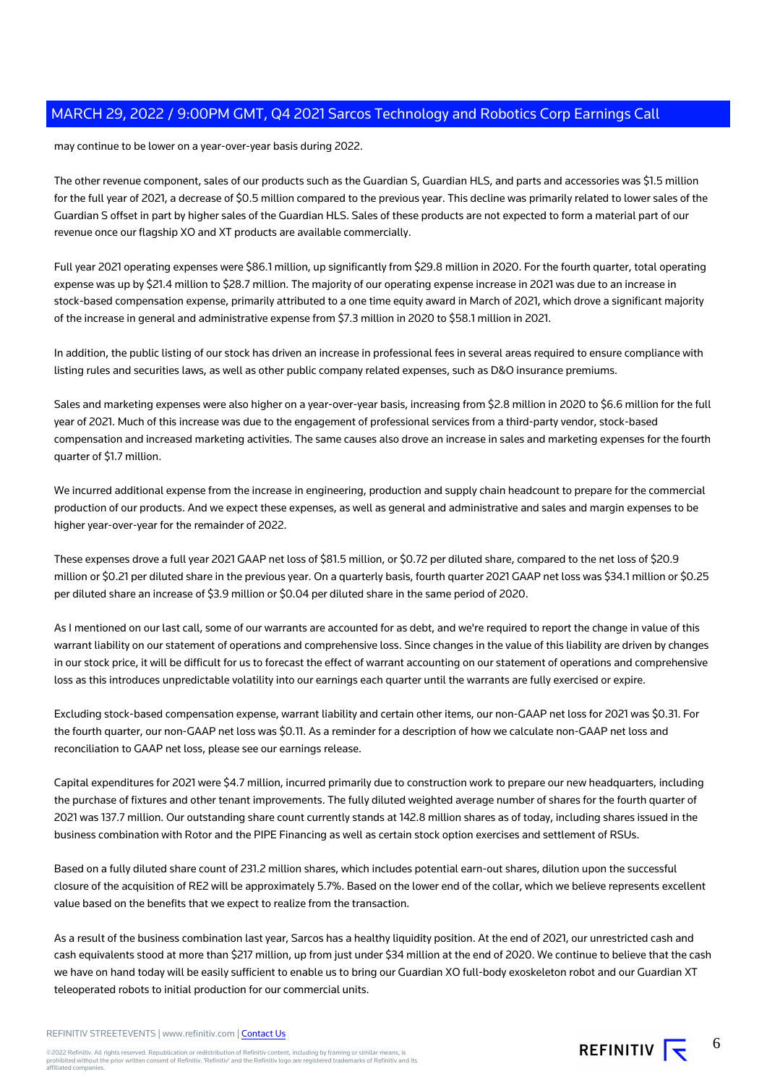may continue to be lower on a year-over-year basis during 2022.

The other revenue component, sales of our products such as the Guardian S, Guardian HLS, and parts and accessories was \$1.5 million for the full year of 2021, a decrease of \$0.5 million compared to the previous year. This decline was primarily related to lower sales of the Guardian S offset in part by higher sales of the Guardian HLS. Sales of these products are not expected to form a material part of our revenue once our flagship XO and XT products are available commercially.

Full year 2021 operating expenses were \$86.1 million, up significantly from \$29.8 million in 2020. For the fourth quarter, total operating expense was up by \$21.4 million to \$28.7 million. The majority of our operating expense increase in 2021 was due to an increase in stock-based compensation expense, primarily attributed to a one time equity award in March of 2021, which drove a significant majority of the increase in general and administrative expense from \$7.3 million in 2020 to \$58.1 million in 2021.

In addition, the public listing of our stock has driven an increase in professional fees in several areas required to ensure compliance with listing rules and securities laws, as well as other public company related expenses, such as D&O insurance premiums.

Sales and marketing expenses were also higher on a year-over-year basis, increasing from \$2.8 million in 2020 to \$6.6 million for the full year of 2021. Much of this increase was due to the engagement of professional services from a third-party vendor, stock-based compensation and increased marketing activities. The same causes also drove an increase in sales and marketing expenses for the fourth quarter of \$1.7 million.

We incurred additional expense from the increase in engineering, production and supply chain headcount to prepare for the commercial production of our products. And we expect these expenses, as well as general and administrative and sales and margin expenses to be higher year-over-year for the remainder of 2022.

These expenses drove a full year 2021 GAAP net loss of \$81.5 million, or \$0.72 per diluted share, compared to the net loss of \$20.9 million or \$0.21 per diluted share in the previous year. On a quarterly basis, fourth quarter 2021 GAAP net loss was \$34.1 million or \$0.25 per diluted share an increase of \$3.9 million or \$0.04 per diluted share in the same period of 2020.

As I mentioned on our last call, some of our warrants are accounted for as debt, and we're required to report the change in value of this warrant liability on our statement of operations and comprehensive loss. Since changes in the value of this liability are driven by changes in our stock price, it will be difficult for us to forecast the effect of warrant accounting on our statement of operations and comprehensive loss as this introduces unpredictable volatility into our earnings each quarter until the warrants are fully exercised or expire.

Excluding stock-based compensation expense, warrant liability and certain other items, our non-GAAP net loss for 2021 was \$0.31. For the fourth quarter, our non-GAAP net loss was \$0.11. As a reminder for a description of how we calculate non-GAAP net loss and reconciliation to GAAP net loss, please see our earnings release.

Capital expenditures for 2021 were \$4.7 million, incurred primarily due to construction work to prepare our new headquarters, including the purchase of fixtures and other tenant improvements. The fully diluted weighted average number of shares for the fourth quarter of 2021 was 137.7 million. Our outstanding share count currently stands at 142.8 million shares as of today, including shares issued in the business combination with Rotor and the PIPE Financing as well as certain stock option exercises and settlement of RSUs.

Based on a fully diluted share count of 231.2 million shares, which includes potential earn-out shares, dilution upon the successful closure of the acquisition of RE2 will be approximately 5.7%. Based on the lower end of the collar, which we believe represents excellent value based on the benefits that we expect to realize from the transaction.

As a result of the business combination last year, Sarcos has a healthy liquidity position. At the end of 2021, our unrestricted cash and cash equivalents stood at more than \$217 million, up from just under \$34 million at the end of 2020. We continue to believe that the cash we have on hand today will be easily sufficient to enable us to bring our Guardian XO full-body exoskeleton robot and our Guardian XT teleoperated robots to initial production for our commercial units.

REFINITIV STREETEVENTS | www.refinitiv.com | [Contact Us](https://www.refinitiv.com/en/contact-us)

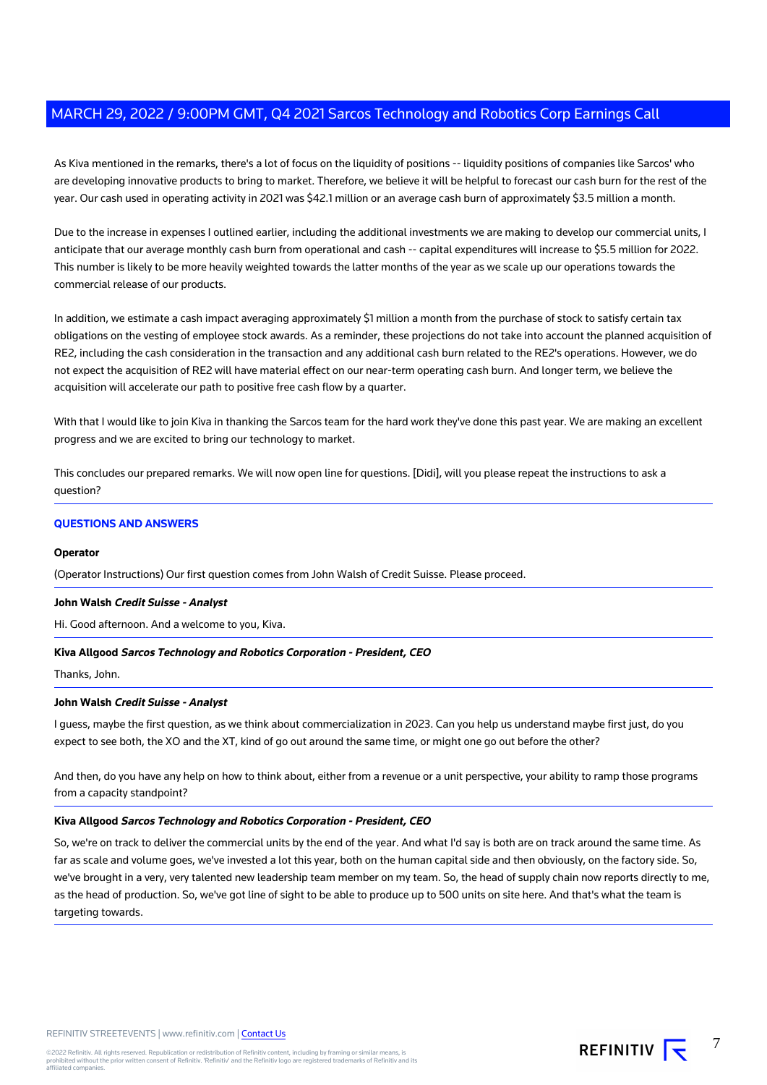As Kiva mentioned in the remarks, there's a lot of focus on the liquidity of positions -- liquidity positions of companies like Sarcos' who are developing innovative products to bring to market. Therefore, we believe it will be helpful to forecast our cash burn for the rest of the year. Our cash used in operating activity in 2021 was \$42.1 million or an average cash burn of approximately \$3.5 million a month.

Due to the increase in expenses I outlined earlier, including the additional investments we are making to develop our commercial units, I anticipate that our average monthly cash burn from operational and cash -- capital expenditures will increase to \$5.5 million for 2022. This number is likely to be more heavily weighted towards the latter months of the year as we scale up our operations towards the commercial release of our products.

In addition, we estimate a cash impact averaging approximately \$1 million a month from the purchase of stock to satisfy certain tax obligations on the vesting of employee stock awards. As a reminder, these projections do not take into account the planned acquisition of RE2, including the cash consideration in the transaction and any additional cash burn related to the RE2's operations. However, we do not expect the acquisition of RE2 will have material effect on our near-term operating cash burn. And longer term, we believe the acquisition will accelerate our path to positive free cash flow by a quarter.

With that I would like to join Kiva in thanking the Sarcos team for the hard work they've done this past year. We are making an excellent progress and we are excited to bring our technology to market.

This concludes our prepared remarks. We will now open line for questions. [Didi], will you please repeat the instructions to ask a question?

#### **QUESTIONS AND ANSWERS**

#### **Operator**

(Operator Instructions) Our first question comes from John Walsh of Credit Suisse. Please proceed.

#### **John Walsh Credit Suisse - Analyst**

Hi. Good afternoon. And a welcome to you, Kiva.

#### **Kiva Allgood Sarcos Technology and Robotics Corporation - President, CEO**

Thanks, John.

#### **John Walsh Credit Suisse - Analyst**

I guess, maybe the first question, as we think about commercialization in 2023. Can you help us understand maybe first just, do you expect to see both, the XO and the XT, kind of go out around the same time, or might one go out before the other?

And then, do you have any help on how to think about, either from a revenue or a unit perspective, your ability to ramp those programs from a capacity standpoint?

#### **Kiva Allgood Sarcos Technology and Robotics Corporation - President, CEO**

So, we're on track to deliver the commercial units by the end of the year. And what I'd say is both are on track around the same time. As far as scale and volume goes, we've invested a lot this year, both on the human capital side and then obviously, on the factory side. So, we've brought in a very, very talented new leadership team member on my team. So, the head of supply chain now reports directly to me, as the head of production. So, we've got line of sight to be able to produce up to 500 units on site here. And that's what the team is targeting towards.

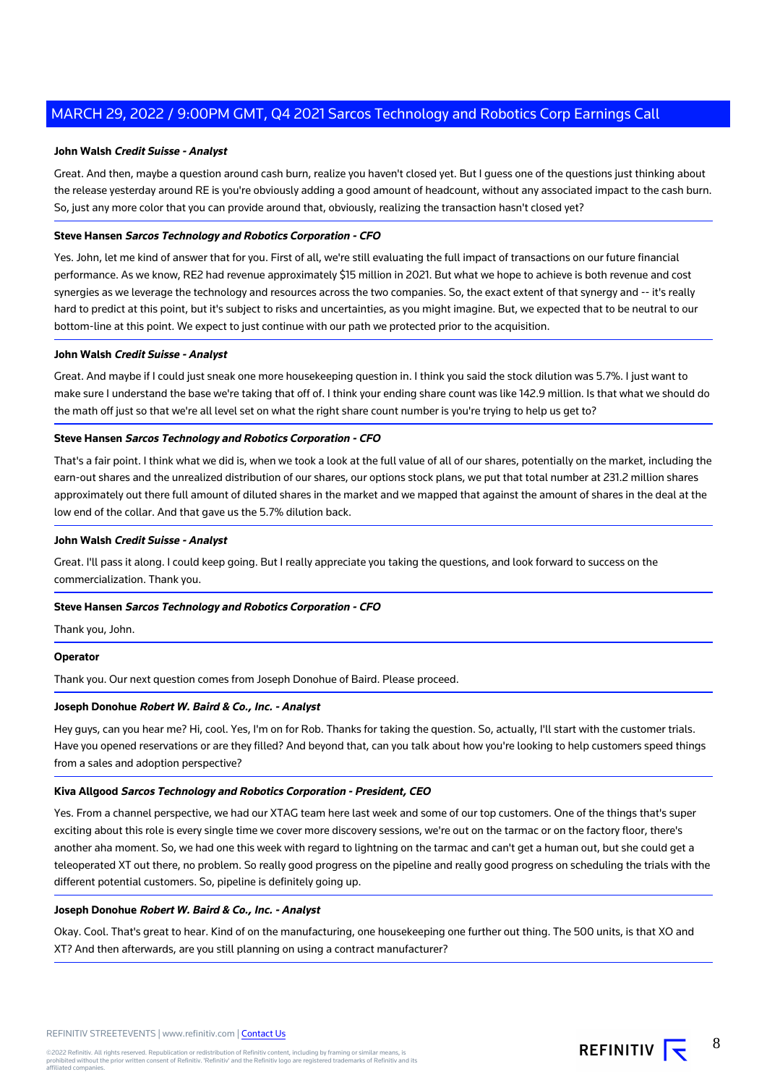#### **John Walsh Credit Suisse - Analyst**

Great. And then, maybe a question around cash burn, realize you haven't closed yet. But I guess one of the questions just thinking about the release yesterday around RE is you're obviously adding a good amount of headcount, without any associated impact to the cash burn. So, just any more color that you can provide around that, obviously, realizing the transaction hasn't closed yet?

#### **Steve Hansen Sarcos Technology and Robotics Corporation - CFO**

Yes. John, let me kind of answer that for you. First of all, we're still evaluating the full impact of transactions on our future financial performance. As we know, RE2 had revenue approximately \$15 million in 2021. But what we hope to achieve is both revenue and cost synergies as we leverage the technology and resources across the two companies. So, the exact extent of that synergy and -- it's really hard to predict at this point, but it's subject to risks and uncertainties, as you might imagine. But, we expected that to be neutral to our bottom-line at this point. We expect to just continue with our path we protected prior to the acquisition.

#### **John Walsh Credit Suisse - Analyst**

Great. And maybe if I could just sneak one more housekeeping question in. I think you said the stock dilution was 5.7%. I just want to make sure I understand the base we're taking that off of. I think your ending share count was like 142.9 million. Is that what we should do the math off just so that we're all level set on what the right share count number is you're trying to help us get to?

#### **Steve Hansen Sarcos Technology and Robotics Corporation - CFO**

That's a fair point. I think what we did is, when we took a look at the full value of all of our shares, potentially on the market, including the earn-out shares and the unrealized distribution of our shares, our options stock plans, we put that total number at 231.2 million shares approximately out there full amount of diluted shares in the market and we mapped that against the amount of shares in the deal at the low end of the collar. And that gave us the 5.7% dilution back.

#### **John Walsh Credit Suisse - Analyst**

Great. I'll pass it along. I could keep going. But I really appreciate you taking the questions, and look forward to success on the commercialization. Thank you.

#### **Steve Hansen Sarcos Technology and Robotics Corporation - CFO**

Thank you, John.

#### **Operator**

Thank you. Our next question comes from Joseph Donohue of Baird. Please proceed.

#### **Joseph Donohue Robert W. Baird & Co., Inc. - Analyst**

Hey guys, can you hear me? Hi, cool. Yes, I'm on for Rob. Thanks for taking the question. So, actually, I'll start with the customer trials. Have you opened reservations or are they filled? And beyond that, can you talk about how you're looking to help customers speed things from a sales and adoption perspective?

#### **Kiva Allgood Sarcos Technology and Robotics Corporation - President, CEO**

Yes. From a channel perspective, we had our XTAG team here last week and some of our top customers. One of the things that's super exciting about this role is every single time we cover more discovery sessions, we're out on the tarmac or on the factory floor, there's another aha moment. So, we had one this week with regard to lightning on the tarmac and can't get a human out, but she could get a teleoperated XT out there, no problem. So really good progress on the pipeline and really good progress on scheduling the trials with the different potential customers. So, pipeline is definitely going up.

#### **Joseph Donohue Robert W. Baird & Co., Inc. - Analyst**

Okay. Cool. That's great to hear. Kind of on the manufacturing, one housekeeping one further out thing. The 500 units, is that XO and XT? And then afterwards, are you still planning on using a contract manufacturer?

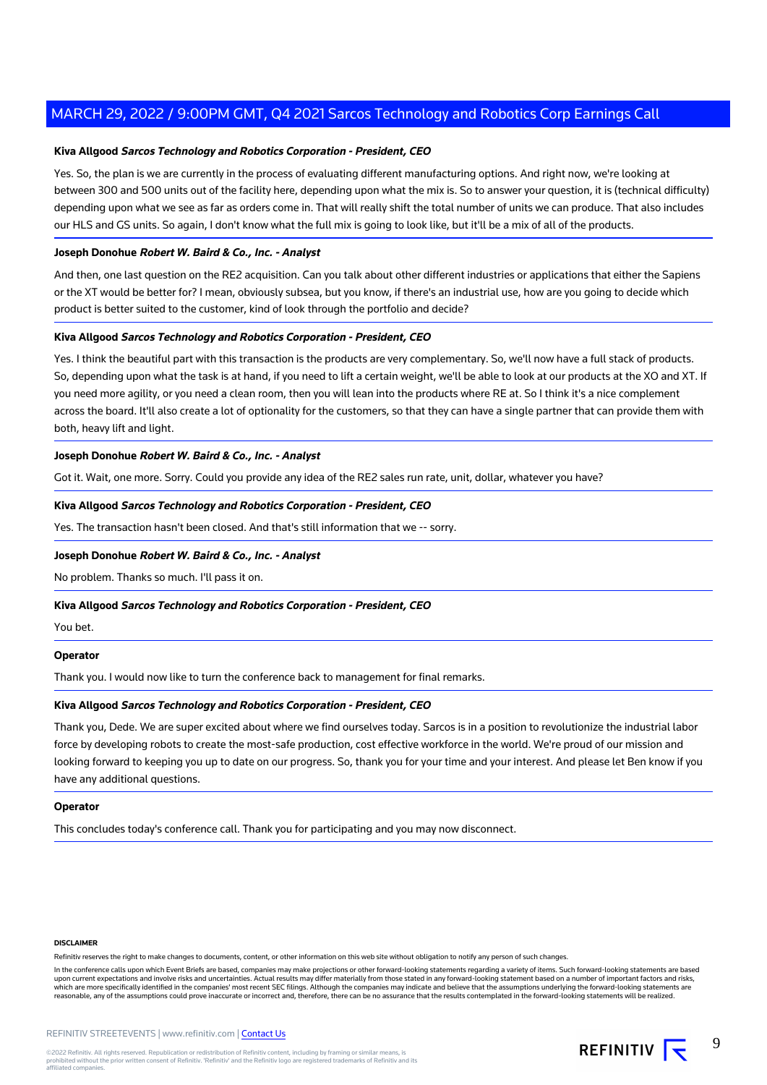#### **Kiva Allgood Sarcos Technology and Robotics Corporation - President, CEO**

Yes. So, the plan is we are currently in the process of evaluating different manufacturing options. And right now, we're looking at between 300 and 500 units out of the facility here, depending upon what the mix is. So to answer your question, it is (technical difficulty) depending upon what we see as far as orders come in. That will really shift the total number of units we can produce. That also includes our HLS and GS units. So again, I don't know what the full mix is going to look like, but it'll be a mix of all of the products.

#### **Joseph Donohue Robert W. Baird & Co., Inc. - Analyst**

And then, one last question on the RE2 acquisition. Can you talk about other different industries or applications that either the Sapiens or the XT would be better for? I mean, obviously subsea, but you know, if there's an industrial use, how are you going to decide which product is better suited to the customer, kind of look through the portfolio and decide?

#### **Kiva Allgood Sarcos Technology and Robotics Corporation - President, CEO**

Yes. I think the beautiful part with this transaction is the products are very complementary. So, we'll now have a full stack of products. So, depending upon what the task is at hand, if you need to lift a certain weight, we'll be able to look at our products at the XO and XT. If you need more agility, or you need a clean room, then you will lean into the products where RE at. So I think it's a nice complement across the board. It'll also create a lot of optionality for the customers, so that they can have a single partner that can provide them with both, heavy lift and light.

#### **Joseph Donohue Robert W. Baird & Co., Inc. - Analyst**

Got it. Wait, one more. Sorry. Could you provide any idea of the RE2 sales run rate, unit, dollar, whatever you have?

#### **Kiva Allgood Sarcos Technology and Robotics Corporation - President, CEO**

Yes. The transaction hasn't been closed. And that's still information that we -- sorry.

#### **Joseph Donohue Robert W. Baird & Co., Inc. - Analyst**

No problem. Thanks so much. I'll pass it on.

#### **Kiva Allgood Sarcos Technology and Robotics Corporation - President, CEO**

You bet.

#### **Operator**

Thank you. I would now like to turn the conference back to management for final remarks.

#### **Kiva Allgood Sarcos Technology and Robotics Corporation - President, CEO**

Thank you, Dede. We are super excited about where we find ourselves today. Sarcos is in a position to revolutionize the industrial labor force by developing robots to create the most-safe production, cost effective workforce in the world. We're proud of our mission and looking forward to keeping you up to date on our progress. So, thank you for your time and your interest. And please let Ben know if you have any additional questions.

#### **Operator**

This concludes today's conference call. Thank you for participating and you may now disconnect.

#### **DISCLAIMER**

Refinitiv reserves the right to make changes to documents, content, or other information on this web site without obligation to notify any person of such changes.

In the conference calls upon which Event Briefs are based, companies may make projections or other forward-looking statements regarding a variety of items. Such forward-looking statements are based upon current expectations and involve risks and uncertainties. Actual results may differ materially from those stated in any forward-looking statement based on a number of important factors and risks,<br>which are more specif reasonable, any of the assumptions could prove inaccurate or incorrect and, therefore, there can be no assurance that the results contemplated in the forward-looking statements will be realized.